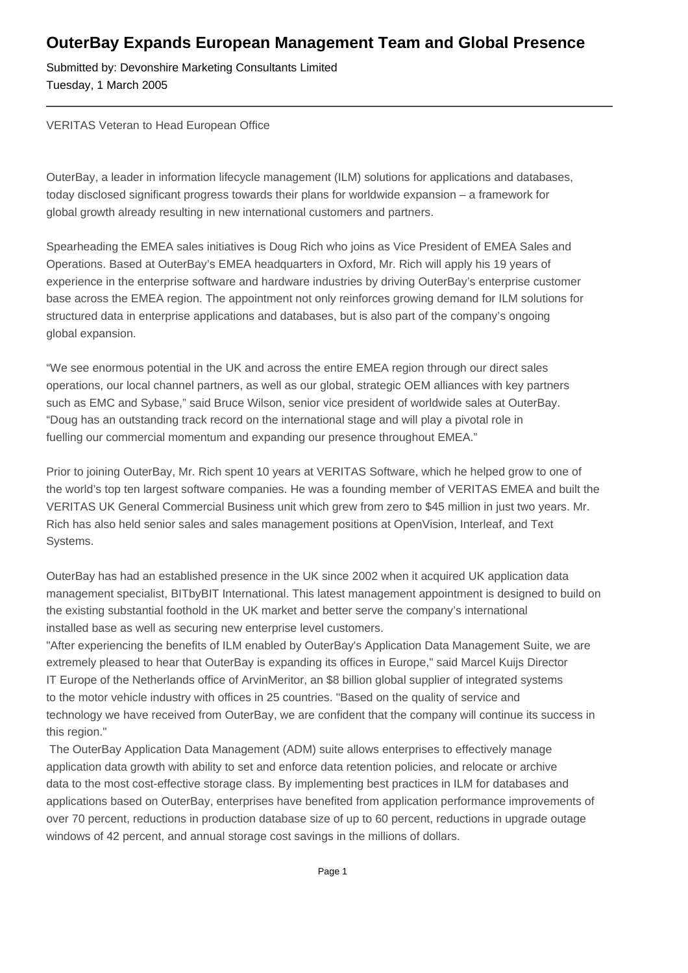## **OuterBay Expands European Management Team and Global Presence**

Submitted by: Devonshire Marketing Consultants Limited Tuesday, 1 March 2005

VERITAS Veteran to Head European Office

OuterBay, a leader in information lifecycle management (ILM) solutions for applications and databases, today disclosed significant progress towards their plans for worldwide expansion – a framework for global growth already resulting in new international customers and partners.

Spearheading the EMEA sales initiatives is Doug Rich who joins as Vice President of EMEA Sales and Operations. Based at OuterBay's EMEA headquarters in Oxford, Mr. Rich will apply his 19 years of experience in the enterprise software and hardware industries by driving OuterBay's enterprise customer base across the EMEA region. The appointment not only reinforces growing demand for ILM solutions for structured data in enterprise applications and databases, but is also part of the company's ongoing global expansion.

"We see enormous potential in the UK and across the entire EMEA region through our direct sales operations, our local channel partners, as well as our global, strategic OEM alliances with key partners such as EMC and Sybase," said Bruce Wilson, senior vice president of worldwide sales at OuterBay. "Doug has an outstanding track record on the international stage and will play a pivotal role in fuelling our commercial momentum and expanding our presence throughout EMEA."

Prior to joining OuterBay, Mr. Rich spent 10 years at VERITAS Software, which he helped grow to one of the world's top ten largest software companies. He was a founding member of VERITAS EMEA and built the VERITAS UK General Commercial Business unit which grew from zero to \$45 million in just two years. Mr. Rich has also held senior sales and sales management positions at OpenVision, Interleaf, and Text Systems.

OuterBay has had an established presence in the UK since 2002 when it acquired UK application data management specialist, BITbyBIT International. This latest management appointment is designed to build on the existing substantial foothold in the UK market and better serve the company's international installed base as well as securing new enterprise level customers.

"After experiencing the benefits of ILM enabled by OuterBay's Application Data Management Suite, we are extremely pleased to hear that OuterBay is expanding its offices in Europe," said Marcel Kuijs Director IT Europe of the Netherlands office of ArvinMeritor, an \$8 billion global supplier of integrated systems to the motor vehicle industry with offices in 25 countries. "Based on the quality of service and technology we have received from OuterBay, we are confident that the company will continue its success in this region."

 The OuterBay Application Data Management (ADM) suite allows enterprises to effectively manage application data growth with ability to set and enforce data retention policies, and relocate or archive data to the most cost-effective storage class. By implementing best practices in ILM for databases and applications based on OuterBay, enterprises have benefited from application performance improvements of over 70 percent, reductions in production database size of up to 60 percent, reductions in upgrade outage windows of 42 percent, and annual storage cost savings in the millions of dollars.